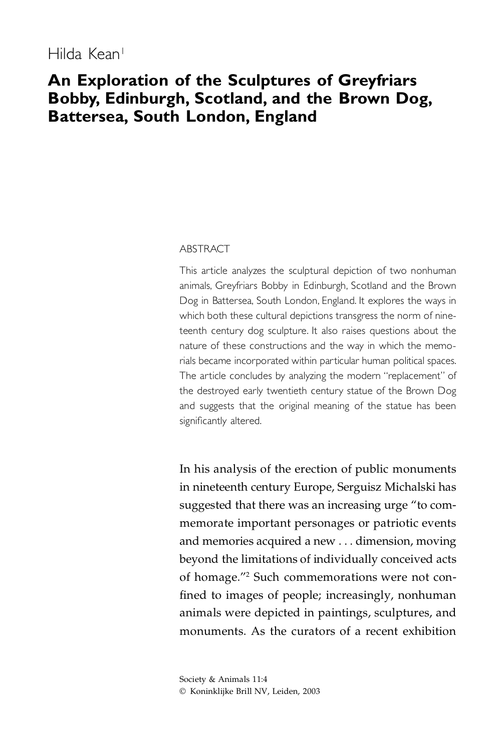# **An Exploration of the Sculptures of Greyfriars Bobby, Edinburgh, Scotland, and the Brown Dog, Battersea, South London, England**

#### ABSTRACT

This article analyzes the sculptural depiction of two nonhuman animals, Greyfriars Bobby in Edinburgh, Scotland and the Brown Dog in Battersea, South London, England. It explores the ways in which both these cultural depictions transgress the norm of nineteenth century dog sculpture. It also raises questions about the nature of these constructions and the way in which the memorials became incorporated within particular human political spaces. The article concludes by analyzing the modern "replacement" of the destroyed early twentieth century statue of the Brown Dog and suggests that the original meaning of the statue has been significantly altered.

In his analysis of the erection of public monuments in nineteenth century Europe, Serguisz Michalski has suggested that there was an increasing urge "to commemorate important personages or patriotic events and memories acquired a new . . . dimension, moving beyond the limitations of individually conceived acts of homage."2 Such commemorations were not con fined to images of people; increasingly, nonhuman animals were depicted in paintings, sculptures, and monuments. As the curators of a recent exhibition

Society & Animals 11:4 © Koninklijke Brill NV, Leiden, 2003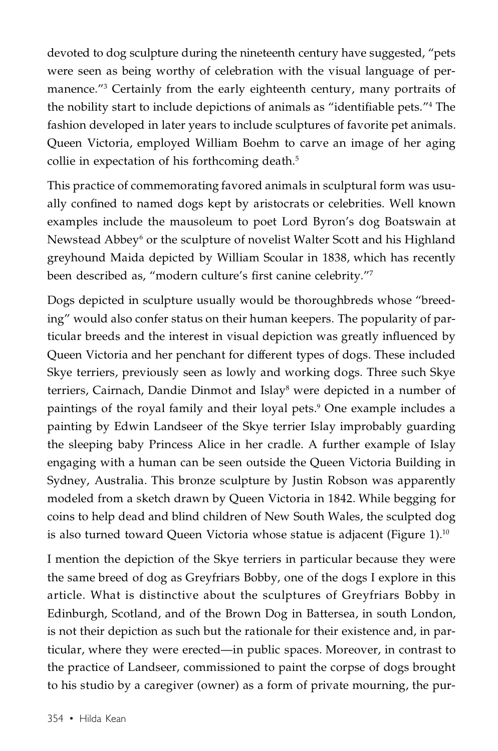devoted to dog sculpture during the nineteenth century have suggested, "pets were seen as being worthy of celebration with the visual language of permanence."3 Certainly from the early eighteenth century, many portraits of the nobility start to include depictions of animals as "identifiable pets."<sup>4</sup> The fashion developed in later years to include sculptures of favorite pet animals. Queen Victoria, employed William Boehm to carve an image of her aging collie in expectation of his forthcoming death.<sup>5</sup>

This practice of commemorating favored animals in sculptural form was usually confined to named dogs kept by aristocrats or celebrities. Well known examples include the mausoleum to poet Lord Byron's dog Boatswain at Newstead Abbey<sup>6</sup> or the sculpture of novelist Walter Scott and his Highland greyhound Maida depicted by William Scoular in 1838, which has recently been described as, "modern culture's first canine celebrity."7

Dogs depicted in sculpture usually would be thoroughbreds whose "breeding" would also confer status on their human keepers. The popularity of particular breeds and the interest in visual depiction was greatly influenced by Queen Victoria and her penchant for different types of dogs. These included Skye terriers, previously seen as lowly and working dogs. Three such Skye terriers, Cairnach, Dandie Dinmot and Islay<sup>8</sup> were depicted in a number of paintings of the royal family and their loyal pets. <sup>9</sup> One example includes a painting by Edwin Landseer of the Skye terrier Islay improbably guarding the sleeping baby Princess Alice in her cradle. A further example of Islay engaging with a human can be seen outside the Queen Victoria Building in Sydney, Australia. This bronze sculpture by Justin Robson was apparently modeled from a sketch drawn by Queen Victoria in 1842. While begging for coins to help dead and blind children of New South Wales, the sculpted dog is also turned toward Queen Victoria whose statue is adjacent (Figure 1).10

I mention the depiction of the Skye terriers in particular because they were the same breed of dog as Greyfriars Bobby, one of the dogs I explore in this article. What is distinctive about the sculptures of Greyfriars Bobby in Edinburgh, Scotland, and of the Brown Dog in Battersea, in south London, is not their depiction as such but the rationale for their existence and, in particular, where they were erected—in public spaces. Moreover, in contrast to the practice of Landseer, commissioned to paint the corpse of dogs brought to his studio by a caregiver (owner) as a form of private mourning, the pur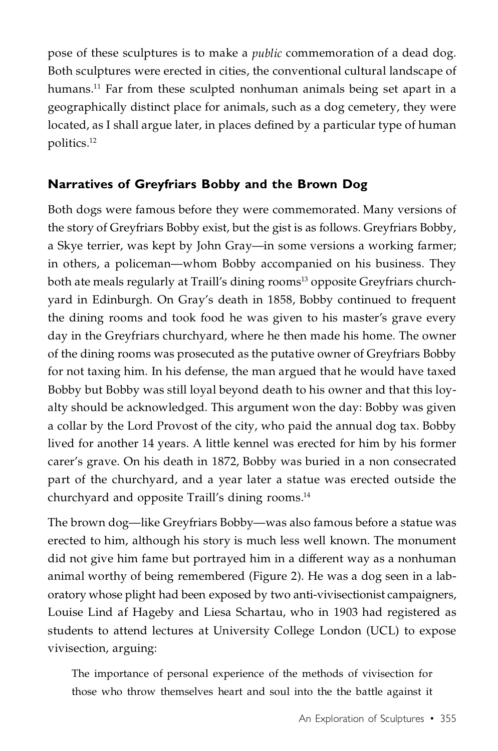pose of these sculptures is to make a *public* commemoration of a dead dog. Both sculptures were erected in cities, the conventional cultural landscape of humans. <sup>11</sup> Far from these sculpted nonhuman animals being set apart in a geographically distinct place for animals, such as a dog cemetery, they were located, as I shall argue later, in places defined by a particular type of human politics. 12

#### **Narratives of Greyfriars Bobby and the Brown Dog**

Both dogs were famous before they were commemorated. Many versions of the story of Greyfriars Bobby exist, but the gist is as follows. Greyfriars Bobby, a Skye terrier, was kept by John Gray—in some versions a working farmer; in others, a policeman—whom Bobby accompanied on his business. They both ate meals regularly at Traill's dining rooms<sup>13</sup> opposite Greyfriars churchyard in Edinburgh. On Gray's death in 1858, Bobby continued to frequent the dining rooms and took food he was given to his master's grave every day in the Greyfriars churchyard, where he then made his home. The owner of the dining rooms was prosecuted as the putative owner of Greyfriars Bobby for not taxing him. In his defense, the man argued that he would have taxed Bobby but Bobby was still loyal beyond death to his owner and that this loyalty should be acknowledged. This argument won the day: Bobby was given a collar by the Lord Provost of the city, who paid the annual dog tax. Bobby lived for another 14 years. A little kennel was erected for him by his former carer's grave. On his death in 1872, Bobby was buried in a non consecrated part of the churchyard, and a year later a statue was erected outside the churchyard and opposite Traill's dining rooms. 14

The brown dog—like Greyfriars Bobby—was also famous before a statue was erected to him, although his story is much less well known. The monument did not give him fame but portrayed him in a different way as a nonhuman animal worthy of being remembered (Figure 2). He was a dog seen in a laboratory whose plight had been exposed by two anti-vivisectionist campaigners, Louise Lind af Hageby and Liesa Schartau, who in 1903 had registered as students to attend lectures at University College London (UCL) to expose vivisection, arguing:

The importance of personal experience of the methods of vivisection for those who throw themselves heart and soul into the the battle against it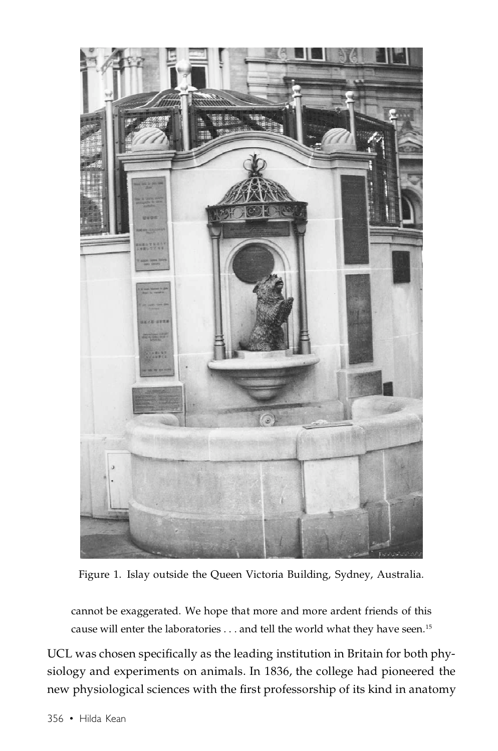

Figure 1. Islay outside the Queen Victoria Building, Sydney, Australia.

cannot be exaggerated. We hope that more and more ardent friends of this cause will enter the laboratories . . . and tell the world what they have seen.<sup>15</sup>

UCL was chosen specifically as the leading institution in Britain for both physiology and experiments on animals. In 1836, the college had pioneered the new physiological sciences with the first professorship of its kind in anatomy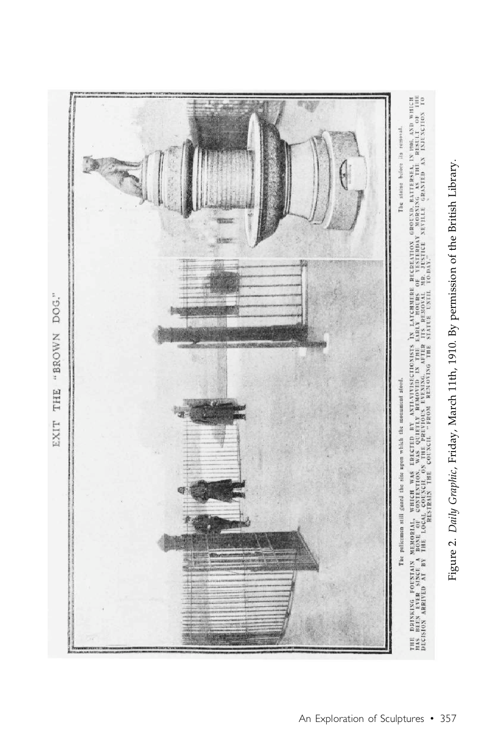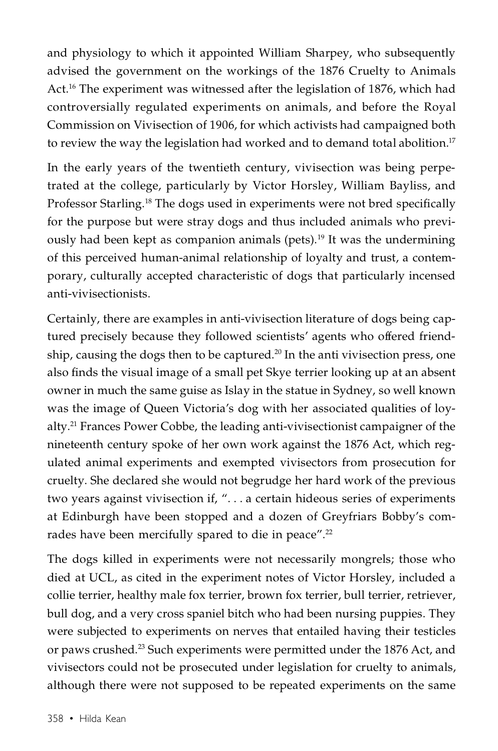and physiology to which it appointed William Sharpey, who subsequently advised the government on the workings of the 1876 Cruelty to Animals Act.16 The experiment was witnessed after the legislation of 1876, which had controversially regulated experiments on animals, and before the Royal Commission on Vivisection of 1906, for which activists had campaigned both to review the way the legislation had worked and to demand total abolition.<sup>17</sup>

In the early years of the twentieth century, vivisection was being perpetrated at the college, particularly by Victor Horsley, William Bayliss, and Professor Starling.<sup>18</sup> The dogs used in experiments were not bred specifically for the purpose but were stray dogs and thus included animals who previously had been kept as companion animals (pets).<sup>19</sup> It was the undermining of this perceived human-animal relationship of loyalty and trust, a contemporary, culturally accepted characteristic of dogs that particularly incensed anti-vivisectionists.

Certainly, there are examples in anti-vivisection literature of dogs being captured precisely because they followed scientists' agents who offered friendship, causing the dogs then to be captured.<sup>20</sup> In the anti vivisection press, one also finds the visual image of a small pet Skye terrier looking up at an absent owner in much the same guise as Islay in the statue in Sydney, so well known was the image of Queen Victoria's dog with her associated qualities of loyalty.21 Frances Power Cobbe, the leading anti-vivisectionist campaigner of the nineteenth century spoke of her own work against the 1876 Act, which regulated animal experiments and exempted vivisectors from prosecution for cruelty. She declared she would not begrudge her hard work of the previous two years against vivisection if, ". . . a certain hideous series of experiments at Edinburgh have been stopped and a dozen of Greyfriars Bobby's comrades have been mercifully spared to die in peace".<sup>22</sup>

The dogs killed in experiments were not necessarily mongrels; those who died at UCL, as cited in the experiment notes of Victor Horsley, included a collie terrier, healthy male fox terrier, brown fox terrier, bull terrier, retriever, bull dog, and a very cross spaniel bitch who had been nursing puppies. They were subjected to experiments on nerves that entailed having their testicles or paws crushed.23 Such experiments were permitted under the 1876 Act, and vivisectors could not be prosecuted under legislation for cruelty to animals, although there were not supposed to be repeated experiments on the same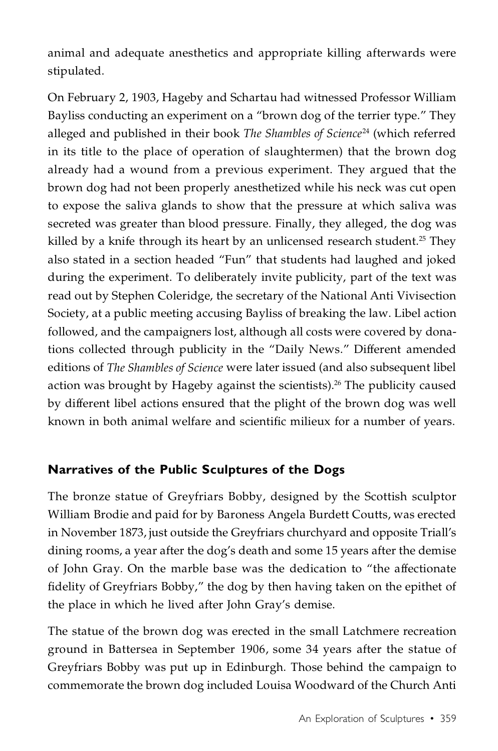animal and adequate anesthetics and appropriate killing afterwards were stipulated.

On February 2, 1903, Hageby and Schartau had witnessed Professor William Bayliss conducting an experiment on a "brown dog of the terrier type." They alleged and published in their book *The Shambles of Science*<sup>24</sup> (which referred in its title to the place of operation of slaughtermen) that the brown dog already had a wound from a previous experiment. They argued that the brown dog had not been properly anesthetized while his neck was cut open to expose the saliva glands to show that the pressure at which saliva was secreted was greater than blood pressure. Finally, they alleged, the dog was killed by a knife through its heart by an unlicensed research student.<sup>25</sup> They also stated in a section headed "Fun" that students had laughed and joked during the experiment. To deliberately invite publicity, part of the text was read out by Stephen Coleridge, the secretary of the National Anti Vivisection Society, at a public meeting accusing Bayliss of breaking the law. Libel action followed, and the campaigners lost, although all costs were covered by donations collected through publicity in the "Daily News." Different amended editions of *The Shambles of Science* were later issued (and also subsequent libel action was brought by Hageby against the scientists).<sup>26</sup> The publicity caused by different libel actions ensured that the plight of the brown dog was well known in both animal welfare and scientific milieux for a number of years.

#### **Narratives of the Public Sculptures of the Dogs**

The bronze statue of Greyfriars Bobby, designed by the Scottish sculptor William Brodie and paid for by Baroness Angela Burdett Coutts, was erected in November 1873, just outside the Greyfriars churchyard and opposite Triall's dining rooms, a year after the dog's death and some 15 years after the demise of John Gray. On the marble base was the dedication to "the affectionate fidelity of Greyfriars Bobby," the dog by then having taken on the epithet of the place in which he lived after John Gray's demise.

The statue of the brown dog was erected in the small Latchmere recreation ground in Battersea in September 1906, some 34 years after the statue of Greyfriars Bobby was put up in Edinburgh. Those behind the campaign to commemorate the brown dog included Louisa Woodward of the Church Anti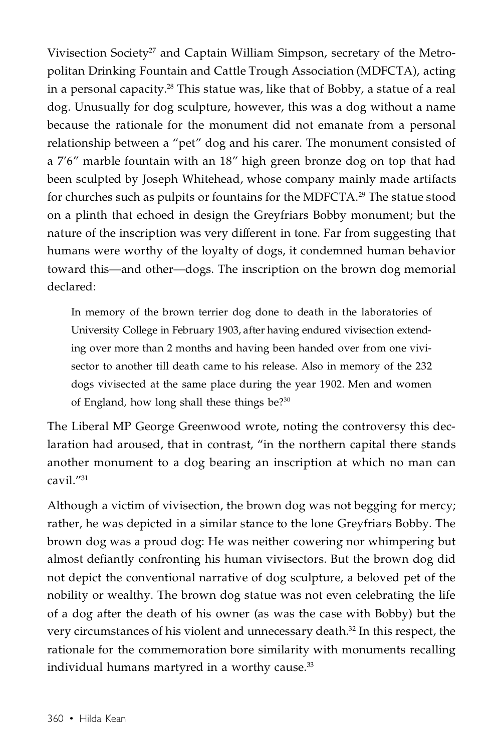Vivisection Society<sup>27</sup> and Captain William Simpson, secretary of the Metropolitan Drinking Fountain and Cattle Trough Association (MDFCTA), acting in a personal capacity.<sup>28</sup> This statue was, like that of Bobby, a statue of a real dog. Unusually for dog sculpture, however, this was a dog without a name because the rationale for the monument did not emanate from a personal relationship between a "pet" dog and his carer. The monument consisted of a 7'6" marble fountain with an 18" high green bronze dog on top that had been sculpted by Joseph Whitehead, whose company mainly made artifacts for churches such as pulpits or fountains for the MDFCTA.<sup>29</sup> The statue stood on a plinth that echoed in design the Greyfriars Bobby monument; but the nature of the inscription was very different in tone. Far from suggesting that humans were worthy of the loyalty of dogs, it condemned human behavior toward this—and other—dogs. The inscription on the brown dog memorial declared:

In memory of the brown terrier dog done to death in the laboratories of University College in February 1903, after having endured vivisection extending over more than 2 months and having been handed over from one vivisector to another till death came to his release. Also in memory of the 232 dogs vivisected at the same place during the year 1902. Men and women of England, how long shall these things be?30

The Liberal MP George Greenwood wrote, noting the controversy this declaration had aroused, that in contrast, "in the northern capital there stands another monument to a dog bearing an inscription at which no man can cavil."31

Although a victim of vivisection, the brown dog was not begging for mercy; rather, he was depicted in a similar stance to the lone Greyfriars Bobby. The brown dog was a proud dog: He was neither cowering nor whimpering but almost defiantly confronting his human vivisectors. But the brown dog did not depict the conventional narrative of dog sculpture, a beloved pet of the nobility or wealthy. The brown dog statue was not even celebrating the life of a dog after the death of his owner (as was the case with Bobby) but the very circumstances of his violent and unnecessary death.32 In this respect, the rationale for the commemoration bore similarity with monuments recalling individual humans martyred in a worthy cause.<sup>33</sup>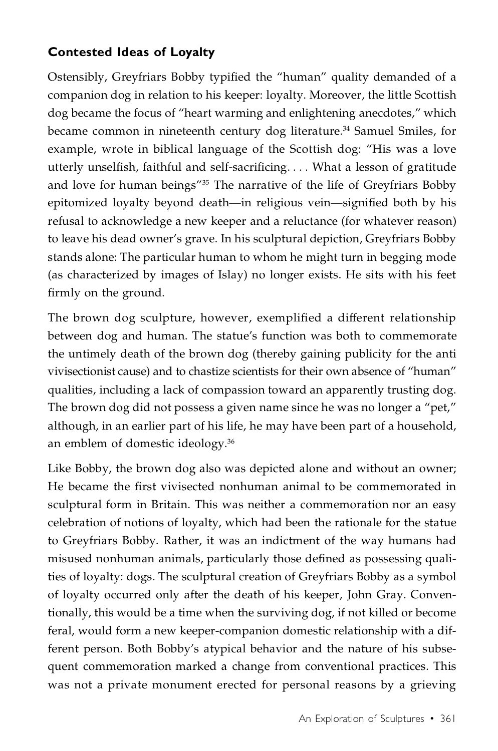## **Contested Ideas of Loyalty**

Ostensibly, Greyfriars Bobby typified the "human" quality demanded of a companion dog in relation to his keeper: loyalty. Moreover, the little Scottish dog became the focus of "heart warming and enlightening anecdotes," which became common in nineteenth century dog literature.<sup>34</sup> Samuel Smiles, for example, wrote in biblical language of the Scottish dog: "His was a love utterly unselfish, faithful and self-sacrificing. . . . What a lesson of gratitude and love for human beings"35 The narrative of the life of Greyfriars Bobby epitomized loyalty beyond death—in religious vein—signified both by his refusal to acknowledge a new keeper and a reluctance (for whatever reason) to leave his dead owner's grave. In his sculptural depiction, Greyfriars Bobby stands alone: The particular human to whom he might turn in begging mode (as characterized by images of Islay) no longer exists. He sits with his feet firmly on the ground.

The brown dog sculpture, however, exemplified a different relationship between dog and human. The statue's function was both to commemorate the untimely death of the brown dog (thereby gaining publicity for the anti vivisectionist cause) and to chastize scientists for their own absence of "human" qualities, including a lack of compassion toward an apparently trusting dog. The brown dog did not possess a given name since he was no longer a "pet," although, in an earlier part of his life, he may have been part of a household, an emblem of domestic ideology.36

Like Bobby, the brown dog also was depicted alone and without an owner; He became the first vivisected nonhuman animal to be commemorated in sculptural form in Britain. This was neither a commemoration nor an easy celebration of notions of loyalty, which had been the rationale for the statue to Greyfriars Bobby. Rather, it was an indictment of the way humans had misused nonhuman animals, particularly those defined as possessing qualities of loyalty: dogs. The sculptural creation of Greyfriars Bobby as a symbol of loyalty occurred only after the death of his keeper, John Gray. Conventionally, this would be a time when the surviving dog, if not killed or become feral, would form a new keeper-companion domestic relationship with a different person. Both Bobby's atypical behavior and the nature of his subsequent commemoration marked a change from conventional practices. This was not a private monument erected for personal reasons by a grieving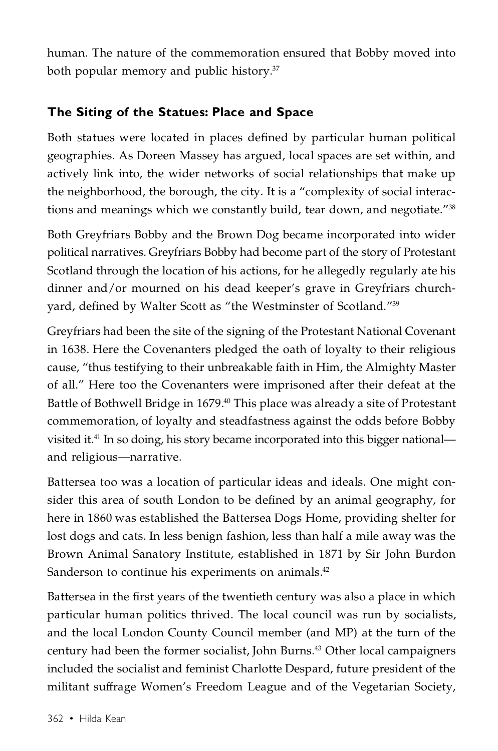human. The nature of the commemoration ensured that Bobby moved into both popular memory and public history.37

## **The Siting of the Statues: Place and Space**

Both statues were located in places defined by particular human political geographies. As Doreen Massey has argued, local spaces are set within, and actively link into, the wider networks of social relationships that make up the neighborhood, the borough, the city. It is a "complexity of social interactions and meanings which we constantly build, tear down, and negotiate."38

Both Greyfriars Bobby and the Brown Dog became incorporated into wider political narratives. Greyfriars Bobby had become part of the story of Protestant Scotland through the location of his actions, for he allegedly regularly ate his dinner and/or mourned on his dead keeper's grave in Greyfriars churchyard, defined by Walter Scott as "the Westminster of Scotland."39

Greyfriars had been the site of the signing of the Protestant National Covenant in 1638. Here the Covenanters pledged the oath of loyalty to their religious cause, "thus testifying to their unbreakable faith in Him, the Almighty Master of all." Here too the Covenanters were imprisoned after their defeat at the Battle of Bothwell Bridge in 1679.<sup>40</sup> This place was already a site of Protestant commemoration, of loyalty and steadfastness against the odds before Bobby visited it.41 In so doing, his story became incorporated into this bigger national and religious—narrative.

Battersea too was a location of particular ideas and ideals. One might consider this area of south London to be defined by an animal geography, for here in 1860 was established the Battersea Dogs Home, providing shelter for lost dogs and cats. In less benign fashion, less than half a mile away was the Brown Animal Sanatory Institute, established in 1871 by Sir John Burdon Sanderson to continue his experiments on animals.<sup>42</sup>

Battersea in the first years of the twentieth century was also a place in which particular human politics thrived. The local council was run by socialists, and the local London County Council member (and MP) at the turn of the century had been the former socialist, John Burns. <sup>43</sup> Other local campaigners included the socialist and feminist Charlotte Despard, future president of the militant suffrage Women's Freedom League and of the Vegetarian Society,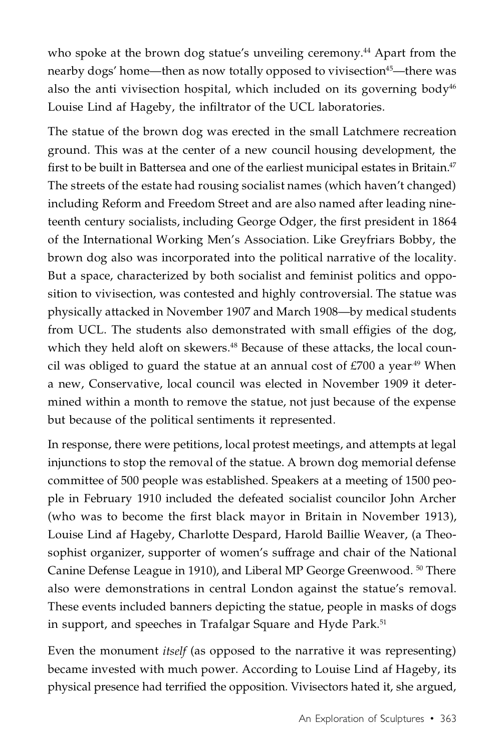who spoke at the brown dog statue's unveiling ceremony.<sup>44</sup> Apart from the nearby dogs' home—then as now totally opposed to vivisection<sup>45</sup>—there was also the anti vivisection hospital, which included on its governing body<sup>46</sup> Louise Lind af Hageby, the infiltrator of the UCL laboratories.

The statue of the brown dog was erected in the small Latchmere recreation ground. This was at the center of a new council housing development, the first to be built in Battersea and one of the earliest municipal estates in Britain. $47$ The streets of the estate had rousing socialist names (which haven't changed) including Reform and Freedom Street and are also named after leading nineteenth century socialists, including George Odger, the first president in 1864 of the International Working Men's Association. Like Greyfriars Bobby, the brown dog also was incorporated into the political narrative of the locality. But a space, characterized by both socialist and feminist politics and opposition to vivisection, was contested and highly controversial. The statue was physically attacked in November 1907 and March 1908—by medical students from UCL. The students also demonstrated with small effigies of the dog, which they held aloft on skewers.<sup>48</sup> Because of these attacks, the local council was obliged to guard the statue at an annual cost of  $£700$  a year<sup>49</sup> When a new, Conservative, local council was elected in November 1909 it determined within a month to remove the statue, not just because of the expense but because of the political sentiments it represented.

In response, there were petitions, local protest meetings, and attempts at legal injunctions to stop the removal of the statue. A brown dog memorial defense committee of 500 people was established. Speakers at a meeting of 1500 people in February 1910 included the defeated socialist councilor John Archer (who was to become the first black mayor in Britain in November 1913), Louise Lind af Hageby, Charlotte Despard, Harold Baillie Weaver, (a Theosophist organizer, supporter of women's suffrage and chair of the National Canine Defense League in 1910), and Liberal MP George Greenwood. <sup>50</sup> There also were demonstrations in central London against the statue's removal. These events included banners depicting the statue, people in masks of dogs in support, and speeches in Trafalgar Square and Hyde Park.<sup>51</sup>

Even the monument *itself* (as opposed to the narrative it was representing) became invested with much power. According to Louise Lind af Hageby, its physical presence had terrified the opposition. Vivisectors hated it, she argued,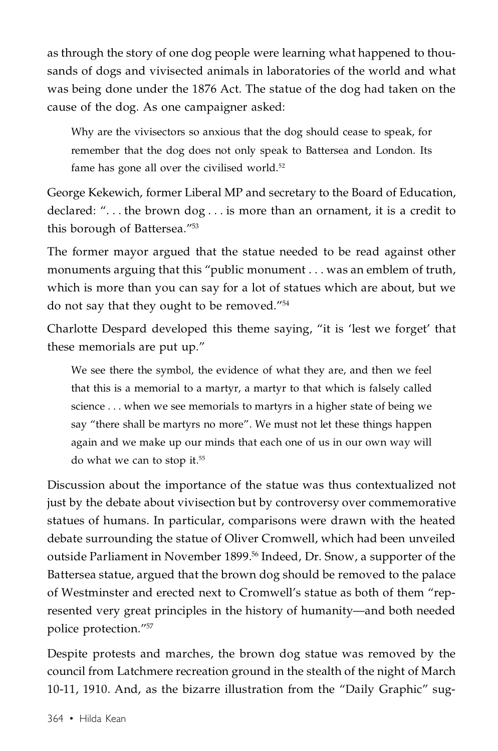as through the story of one dog people were learning what happened to thousands of dogs and vivisected animals in laboratories of the world and what was being done under the 1876 Act. The statue of the dog had taken on the cause of the dog. As one campaigner asked:

Why are the vivisectors so anxious that the dog should cease to speak, for remember that the dog does not only speak to Battersea and London. Its fame has gone all over the civilised world.<sup>52</sup>

George Kekewich, former Liberal MP and secretary to the Board of Education, declared: ". . . the brown dog . . . is more than an ornament, it is a credit to this borough of Battersea."<sup>53</sup>

The former mayor argued that the statue needed to be read against other monuments arguing that this "public monument . . . was an emblem of truth, which is more than you can say for a lot of statues which are about, but we do not say that they ought to be removed."<sup>54</sup>

Charlotte Despard developed this theme saying, "it is 'lest we forget' that these memorials are put up."

We see there the symbol, the evidence of what they are, and then we feel that this is a memorial to a martyr, a martyr to that which is falsely called science . . . when we see memorials to martyrs in a higher state of being we say "there shall be martyrs no more". We must not let these things happen again and we make up our minds that each one of us in our own way will do what we can to stop it. 55

Discussion about the importance of the statue was thus contextualized not just by the debate about vivisection but by controversy over commemorative statues of humans. In particular, comparisons were drawn with the heated debate surrounding the statue of Oliver Cromwell, which had been unveiled outside Parliament in November 1899. <sup>56</sup> Indeed, Dr. Snow, a supporter of the Battersea statue, argued that the brown dog should be removed to the palace of Westminster and erected next to Cromwell's statue as both of them "represented very great principles in the history of humanity—and both needed police protection."57

Despite protests and marches, the brown dog statue was removed by the council from Latchmere recreation ground in the stealth of the night of March 10-11, 1910. And, as the bizarre illustration from the "Daily Graphic" sug-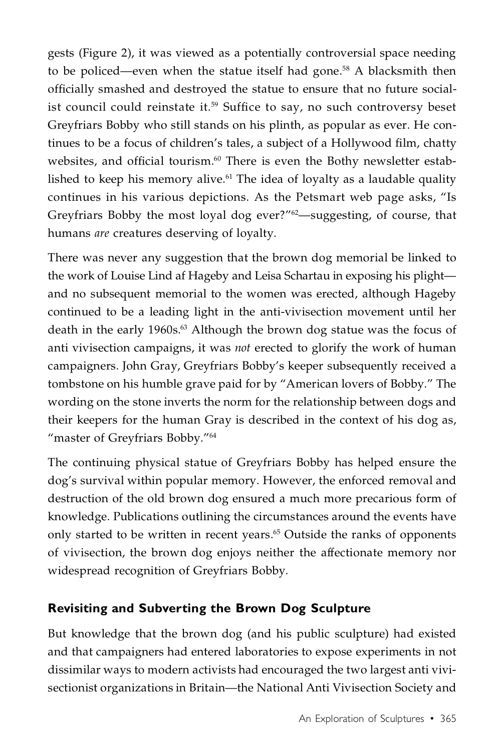gests (Figure 2), it was viewed as a potentially controversial space needing to be policed—even when the statue itself had gone. <sup>58</sup> A blacksmith then officially smashed and destroyed the statue to ensure that no future socialist council could reinstate it. $^{59}$  Suffice to say, no such controversy beset Greyfriars Bobby who still stands on his plinth, as popular as ever. He continues to be a focus of children's tales, a subject of a Hollywood film, chatty websites, and official tourism. $^{60}$  There is even the Bothy newsletter established to keep his memory alive.<sup>61</sup> The idea of loyalty as a laudable quality continues in his various depictions. As the Petsmart web page asks, "Is Greyfriars Bobby the most loyal dog ever?"<sup>62</sup>—suggesting, of course, that humans *are* creatures deserving of loyalty.

There was never any suggestion that the brown dog memorial be linked to the work of Louise Lind af Hageby and Leisa Schartau in exposing his plight and no subsequent memorial to the women was erected, although Hageby continued to be a leading light in the anti-vivisection movement until her death in the early 1960s.<sup>63</sup> Although the brown dog statue was the focus of anti vivisection campaigns, it was *not* erected to glorify the work of human campaigners. John Gray, Greyfriars Bobby's keeper subsequently received a tombstone on his humble grave paid for by "American lovers of Bobby." The wording on the stone inverts the norm for the relationship between dogs and their keepers for the human Gray is described in the context of his dog as, "master of Greyfriars Bobby."<sup>64</sup>

The continuing physical statue of Greyfriars Bobby has helped ensure the dog's survival within popular memory. However, the enforced removal and destruction of the old brown dog ensured a much more precarious form of knowledge. Publications outlining the circumstances around the events have only started to be written in recent years. <sup>65</sup> Outside the ranks of opponents of vivisection, the brown dog enjoys neither the affectionate memory nor widespread recognition of Greyfriars Bobby.

## **Revisiting and Subverting the Brown Dog Sculpture**

But knowledge that the brown dog (and his public sculpture) had existed and that campaigners had entered laboratories to expose experiments in not dissimilar ways to modern activists had encouraged the two largest anti vivisectionist organizations in Britain—the National Anti Vivisection Society and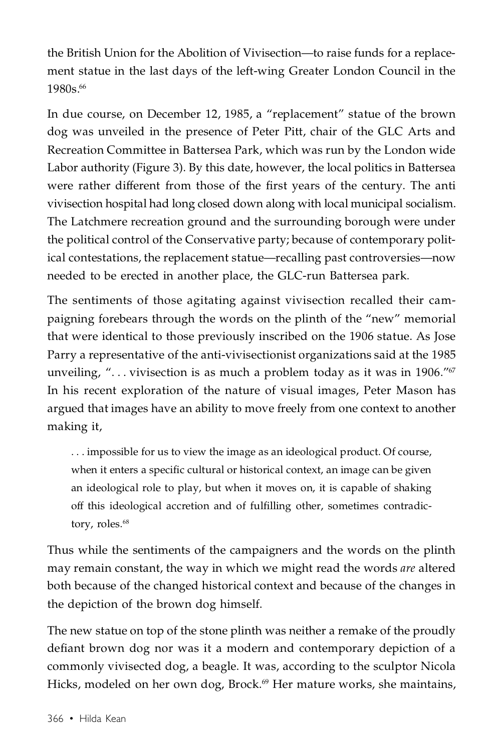the British Union for the Abolition of Vivisection—to raise funds for a replacement statue in the last days of the left-wing Greater London Council in the 1980s. 66

In due course, on December 12, 1985, a "replacement" statue of the brown dog was unveiled in the presence of Peter Pitt, chair of the GLC Arts and Recreation Committee in Battersea Park, which was run by the London wide Labor authority (Figure 3). By this date, however, the local politics in Battersea were rather different from those of the first years of the century. The anti vivisection hospital had long closed down along with local municipal socialism. The Latchmere recreation ground and the surrounding borough were under the political control of the Conservative party; because of contemporary political contestations, the replacement statue—recalling past controversies—now needed to be erected in another place, the GLC-run Battersea park.

The sentiments of those agitating against vivisection recalled their campaigning forebears through the words on the plinth of the "new" memorial that were identical to those previously inscribed on the 1906 statue. As Jose Parry a representative of the anti-vivisectionist organizations said at the 1985 unveiling, "... vivisection is as much a problem today as it was in 1906."<sup>67</sup> In his recent exploration of the nature of visual images, Peter Mason has argued that images have an ability to move freely from one context to another making it,

. . . impossible for us to view the image as an ideological product. Of course, when it enters a specific cultural or historical context, an image can be given an ideological role to play, but when it moves on, it is capable of shaking off this ideological accretion and of fulfilling other, sometimes contradictory, roles.<sup>68</sup>

Thus while the sentiments of the campaigners and the words on the plinth may remain constant, the way in which we might read the words *are* altered both because of the changed historical context and because of the changes in the depiction of the brown dog himself.

The new statue on top of the stone plinth was neither a remake of the proudly defiant brown dog nor was it a modern and contemporary depiction of a commonly vivisected dog, a beagle. It was, according to the sculptor Nicola Hicks, modeled on her own dog, Brock.<sup>69</sup> Her mature works, she maintains,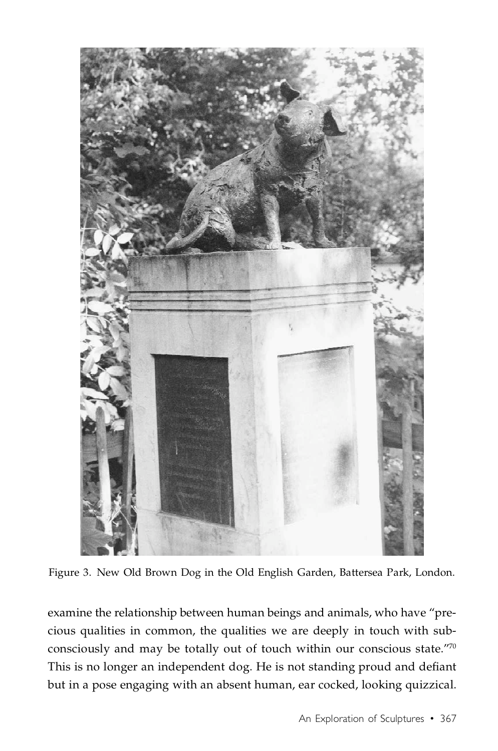

Figure 3. New Old Brown Dog in the Old English Garden, Battersea Park, London.

examine the relationship between human beings and animals, who have "precious qualities in common, the qualities we are deeply in touch with subconsciously and may be totally out of touch within our conscious state."70 This is no longer an independent dog. He is not standing proud and defiant but in a pose engaging with an absent human, ear cocked, looking quizzical.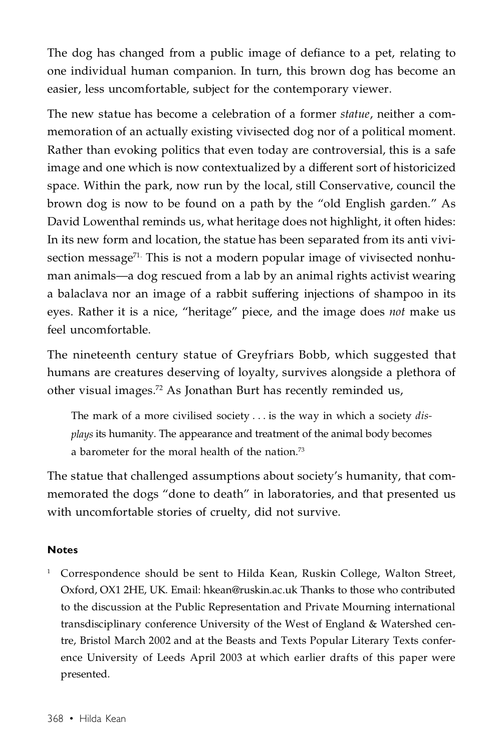The dog has changed from a public image of defiance to a pet, relating to one individual human companion. In turn, this brown dog has become an easier, less uncomfortable, subject for the contemporary viewer.

The new statue has become a celebration of a former *statue*, neither a commemoration of an actually existing vivisected dog nor of a political moment. Rather than evoking politics that even today are controversial, this is a safe image and one which is now contextualized by a different sort of historicized space. Within the park, now run by the local, still Conservative, council the brown dog is now to be found on a path by the "old English garden." As David Lowenthal reminds us, what heritage does not highlight, it often hides: In its new form and location, the statue has been separated from its anti vivisection message<sup>71.</sup> This is not a modern popular image of vivisected nonhuman animals—a dog rescued from a lab by an animal rights activist wearing a balaclava nor an image of a rabbit suffering injections of shampoo in its eyes. Rather it is a nice, "heritage" piece, and the image does *not* make us feel uncomfortable.

The nineteenth century statue of Greyfriars Bobb, which suggested that humans are creatures deserving of loyalty, survives alongside a plethora of other visual images. <sup>72</sup> As Jonathan Burt has recently reminded us,

The mark of a more civilised society . . . is the way in which a society *displays* its humanity. The appearance and treatment of the animal body becomes a barometer for the moral health of the nation.73

The statue that challenged assumptions about society's humanity, that commemorated the dogs "done to death" in laboratories, and that presented us with uncomfortable stories of cruelty, did not survive.

#### **Notes**

<sup>1</sup> Correspondence should be sent to Hilda Kean, Ruskin College, Walton Street, Oxford, OX1 2HE, UK. Email: hkean@ruskin.ac.uk Thanks to those who contributed to the discussion at the Public Representation and Private Mourning international transdisciplinary conference University of the West of England & Watershed centre, Bristol March 2002 and at the Beasts and Texts Popular Literary Texts conference University of Leeds April 2003 at which earlier drafts of this paper were presented.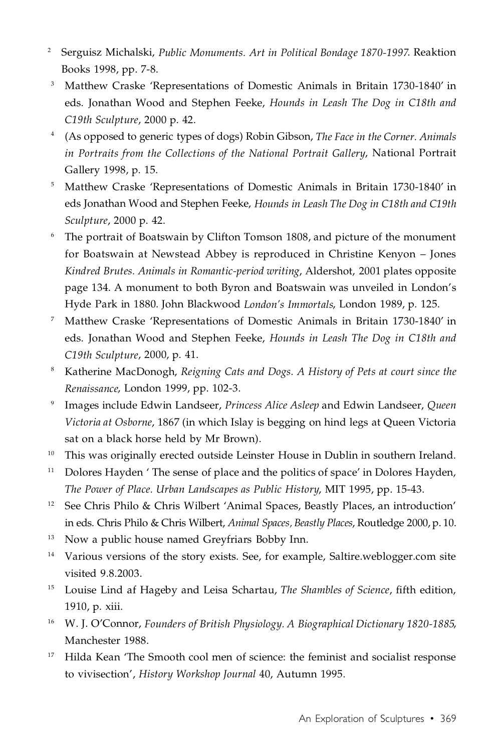- <sup>2</sup> Serguisz Michalski, *Public Monuments. Art in Political Bondage 1870-1997*. Reaktion Books 1998, pp. 7-8.
- <sup>3</sup> Matthew Craske 'Representations of Domestic Animals in Britain 1730-1840' in eds. Jonathan Wood and Stephen Feeke, *Hounds in Leash The Dog in C18th and C19th Sculpture*, 2000 p. 42.
- <sup>4</sup> (As opposed to generic types of dogs) Robin Gibson, *The Face in the Corner. Animals in Portraits from the Collections of the National Portrait Gallery*, National Portrait Gallery 1998, p. 15.
- <sup>5</sup> Matthew Craske 'Representations of Domestic Animals in Britain 1730-1840' in eds Jonathan Wood and Stephen Feeke, *Hounds in Leash The Dog in C18th and C19th Sculpture*, 2000 p. 42.
- $^{\rm 6}$  The portrait of Boatswain by Clifton Tomson 1808, and picture of the monument for Boatswain at Newstead Abbey is reproduced in Christine Kenyon – Jones *Kindred Brutes. Animals in Romantic-period writing*, Aldershot, 2001 plates opposite page 134. A monument to both Byron and Boatswain was unveiled in London's Hyde Park in 1880. John Blackwood *London's Immortals*, London 1989, p. 125.
- <sup>7</sup> Matthew Craske 'Representations of Domestic Animals in Britain 1730-1840' in eds. Jonathan Wood and Stephen Feeke, *Hounds in Leash The Dog in C18th and C19th Sculpture*, 2000, p. 41.
- <sup>8</sup> Katherine MacDonogh, *Reigning Cats and Dogs. A History of Pets at court since the Renaissance*, London 1999, pp. 102-3.
- <sup>9</sup> Images include Edwin Landseer, *Princess Alice Asleep* and Edwin Landseer, *Queen Victoria at Osborne*, 1867 (in which Islay is begging on hind legs at Queen Victoria sat on a black horse held by Mr Brown).
- <sup>10</sup> This was originally erected outside Leinster House in Dublin in southern Ireland.
- $11$  Dolores Hayden  $\prime$  The sense of place and the politics of space $\prime$  in Dolores Hayden, *The Power of Place. Urban Landscapes as Public History*, MIT 1995, pp. 15-43.
- <sup>12</sup> See Chris Philo & Chris Wilbert 'Animal Spaces, Beastly Places, an introduction' in eds. Chris Philo & Chris Wilbert, *Animal Spaces, Beastly Places*, Routledge 2000, p. 10.
- <sup>13</sup> Now a public house named Greyfriars Bobby Inn.
- <sup>14</sup> Various versions of the story exists. See, for example, Saltire.weblogger.com site visited 9.8.2003.
- <sup>15</sup> Louise Lind af Hageby and Leisa Schartau, *The Shambles of Science*, fifth edition, 1910, p. xiii.
- <sup>16</sup> W. J. O'Connor, *Founders of British Physiology. A Biographical Dictionary 1820-1885*, Manchester 1988.
- <sup>17</sup> Hilda Kean 'The Smooth cool men of science: the feminist and socialist response to vivisection', *History Workshop Journal* 40, Autumn 1995.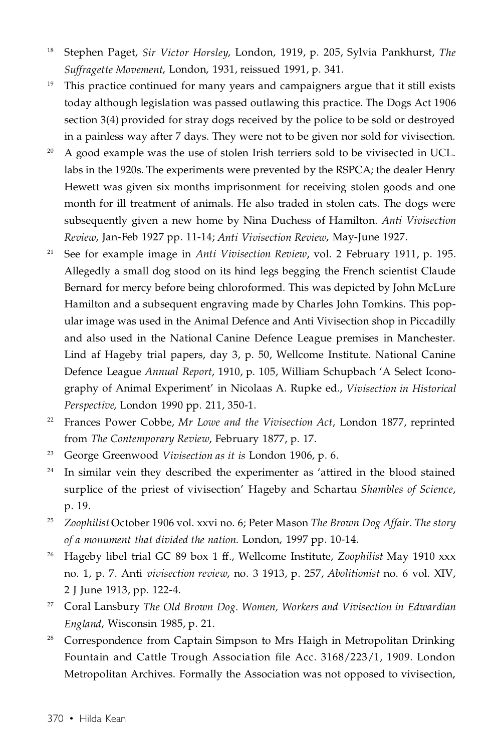- <sup>18</sup> Stephen Paget, *Sir Victor Horsley*, London, 1919, p. 205, Sylvia Pankhurst, *The Suffragette Movement*, London, 1931, reissued 1991, p. 341.
- <sup>19</sup> This practice continued for many years and campaigners argue that it still exists today although legislation was passed outlawing this practice. The Dogs Act 1906 section 3(4) provided for stray dogs received by the police to be sold or destroyed in a painless way after 7 days. They were not to be given nor sold for vivisection.
- <sup>20</sup> A good example was the use of stolen Irish terriers sold to be vivisected in UCL. labs in the 1920s. The experiments were prevented by the RSPCA; the dealer Henry Hewett was given six months imprisonment for receiving stolen goods and one month for ill treatment of animals. He also traded in stolen cats. The dogs were subsequently given a new home by Nina Duchess of Hamilton. *Anti Vivisection Review*, Jan-Feb 1927 pp. 11-14; *Anti Vivisection Review*, May-June 1927.
- <sup>21</sup> See for example image in *Anti Vivisection Review*, vol. 2 February 1911, p. 195. Allegedly a small dog stood on its hind legs begging the French scientist Claude Bernard for mercy before being chloroformed. This was depicted by John McLure Hamilton and a subsequent engraving made by Charles John Tomkins. This popular image was used in the Animal Defence and Anti Vivisection shop in Piccadilly and also used in the National Canine Defence League premises in Manchester. Lind af Hageby trial papers, day 3, p. 50, Wellcome Institute. National Canine Defence League *Annual Report*, 1910, p. 105, William Schupbach 'A Select Iconography of Animal Experiment' in Nicolaas A. Rupke ed., *Vivisection in Historical Perspective*, London 1990 pp. 211, 350-1.
- <sup>22</sup> Frances Power Cobbe, *Mr Lowe and the Vivisection Act*, London 1877, reprinted from *The Contemporary Review*, February 1877, p. 17.
- <sup>23</sup> George Greenwood *Vivisection as it is* London 1906, p. 6.
- <sup>24</sup> In similar vein they described the experimenter as 'attired in the blood stained surplice of the priest of vivisection' Hageby and Schartau *Shambles of Science*, p. 19.
- <sup>25</sup> *Zoophilist* October 1906 vol. xxvi no. 6; Peter Mason *The Brown Dog Affair. The story of a monument that divided the nation.* London, 1997 pp. 10-14.
- <sup>26</sup> Hageby libel trial GC 89 box 1 ff., Wellcome Institute, *Zoophilist* May 1910 xxx no. 1, p. 7. Anti *vivisection review*, no. 3 1913, p. 257, *Abolitionist* no. 6 vol. XIV, 2 J June 1913, pp. 122-4.
- <sup>27</sup> Coral Lansbury *The Old Brown Dog. Women, Workers and Vivisection in Edwardian England*, Wisconsin 1985, p. 21.
- <sup>28</sup> Correspondence from Captain Simpson to Mrs Haigh in Metropolitan Drinking Fountain and Cattle Trough Association file Acc. 3168/223/1, 1909. London Metropolitan Archives. Formally the Association was not opposed to vivisection,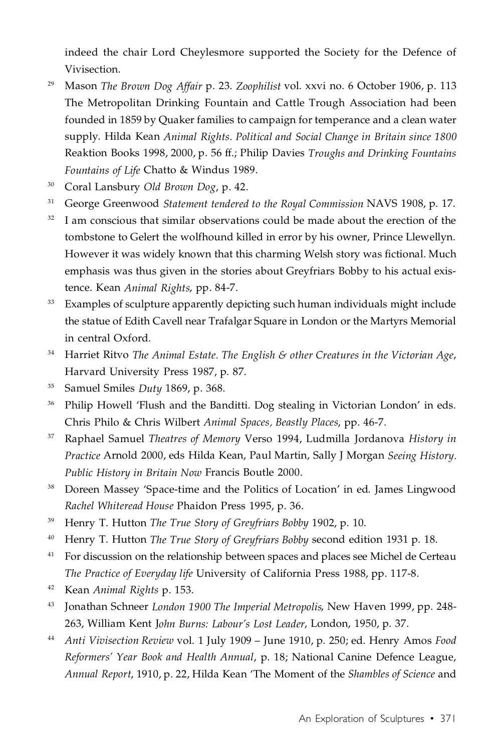indeed the chair Lord Cheylesmore supported the Society for the Defence of Vivisection.

- <sup>29</sup> Mason *The Brown Dog Affair* p. 23. *Zoophilist* vol. xxvi no. 6 October 1906, p. 113 The Metropolitan Drinking Fountain and Cattle Trough Association had been founded in 1859 by Quaker families to campaign for temperance and a clean water supply. Hilda Kean *Animal Rights. Political and Social Change in Britain since 1800* Reaktion Books 1998, 2000, p. 56 ff.; Philip Davies *Troughs and Drinking Fountains Fountains of Life* Chatto & Windus 1989.
- <sup>30</sup> Coral Lansbury *Old Brown Dog*, p. 42.
- <sup>31</sup> George Greenwood *Statement tendered to the Royal Commission* NAVS 1908, p. 17.
- $32$  I am conscious that similar observations could be made about the erection of the tombstone to Gelert the wolfhound killed in error by his owner, Prince Llewellyn. However it was widely known that this charming Welsh story was fictional. Much emphasis was thus given in the stories about Greyfriars Bobby to his actual existence. Kean *Animal Rights*, pp. 84-7.
- <sup>33</sup> Examples of sculpture apparently depicting such human individuals might include the statue of Edith Cavell near Trafalgar Square in London or the Martyrs Memorial in central Oxford.
- <sup>34</sup> Harriet Ritvo *The Animal Estate. The English & other Creatures in the Victorian Age*, Harvard University Press 1987, p. 87.
- <sup>35</sup> Samuel Smiles *Duty* 1869, p. 368.
- <sup>36</sup> Philip Howell 'Flush and the Banditti. Dog stealing in Victorian London' in eds. Chris Philo & Chris Wilbert *Animal Spaces, Beastly Places*, pp. 46-7.
- <sup>37</sup> Raphael Samuel *Theatres of Memory* Verso 1994, Ludmilla Jordanova *History in Practice* Arnold 2000, eds Hilda Kean, Paul Martin, Sally J Morgan *Seeing History. Public History in Britain Now* Francis Boutle 2000.
- <sup>38</sup> Doreen Massey 'Space-time and the Politics of Location' in ed. James Lingwood *Rachel Whiteread House* Phaidon Press 1995, p. 36.
- <sup>39</sup> Henry T. Hutton *The True Story of Greyfriars Bobby* 1902, p. 10.
- <sup>40</sup> Henry T. Hutton *The True Story of Greyfriars Bobby* second edition 1931 p. 18.
- $41$  For discussion on the relationship between spaces and places see Michel de Certeau *The Practice of Everyday life* University of California Press 1988, pp. 117-8.
- <sup>42</sup> Kean *Animal Rights* p. 153.
- <sup>43</sup> Jonathan Schneer *London 1900 The Imperial Metropolis*, New Haven 1999, pp. 248- 263, William Kent J*ohn Burns: Labour's Lost Leader*, London, 1950, p. 37.
- <sup>44</sup> *Anti Vivisection Review* vol. 1 July 1909 June 1910, p. 250; ed. Henry Amos *Food Reformers' Year Book and Health Annual*, p. 18; National Canine Defence League, *Annual Report*, 1910, p. 22, Hilda Kean 'The Moment of the *Shambles of Science* and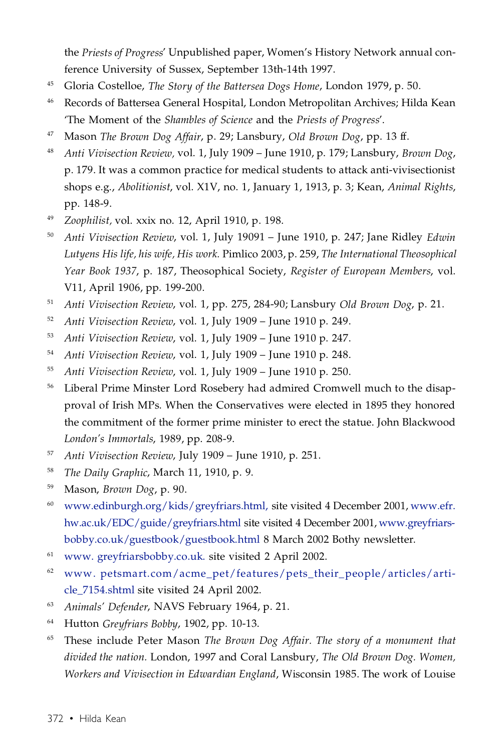the *Priests of Progress*' Unpublished paper, Women's History Network annual conference University of Sussex, September 13th-14th 1997.

- <sup>45</sup> Gloria Costelloe, *The Story of the Battersea Dogs Home*, London 1979, p. 50.
- <sup>46</sup> Records of Battersea General Hospital, London Metropolitan Archives; Hilda Kean 'The Moment of the *Shambles of Science* and the *Priests of Progress*'.
- <sup>47</sup> Mason *The Brown Dog Affair*, p. 29; Lansbury, *Old Brown Dog*, pp. 13 ff.
- <sup>48</sup> *Anti Vivisection Review,* vol. 1, July 1909 June 1910, p. 179; Lansbury, *Brown Dog*, p. 179. It was a common practice for medical students to attack anti-vivisectionist shops e.g., *Abolitionist*, vol. X1V, no. 1, January 1, 1913, p. 3; Kean, *Animal Rights*, pp. 148-9.
- <sup>49</sup> *Zoophilist,* vol. xxix no. 12, April 1910, p. 198.
- <sup>50</sup> *Anti Vivisection Review*, vol. 1, July 19091 June 1910, p. 247; Jane Ridley *Edwin Lutyens His life, his wife, His work.* Pimlico 2003, p. 259, *The International Theosophical Year Book 1937*, p. 187, Theosophical Society, *Register of European Members*, vol. V11, April 1906, pp. 199-200.
- <sup>51</sup> *Anti Vivisection Review*, vol. 1, pp. 275, 284-90; Lansbury *Old Brown Dog*, p. 21.
- <sup>52</sup> *Anti Vivisection Review*, vol. 1, July 1909 June 1910 p. 249.
- <sup>53</sup> *Anti Vivisection Review*, vol. 1, July 1909 June 1910 p. 247.
- <sup>54</sup> *Anti Vivisection Review*, vol. 1, July 1909 June 1910 p. 248.
- <sup>55</sup> *Anti Vivisection Review*, vol. 1, July 1909 June 1910 p. 250.
- <sup>56</sup> Liberal Prime Minster Lord Rosebery had admired Cromwell much to the disapproval of Irish MPs. When the Conservatives were elected in 1895 they honored the commitment of the former prime minister to erect the statue. John Blackwood *London's Immortals*, 1989, pp. 208-9.
- <sup>57</sup> *Anti Vivisection Review*, July 1909 June 1910, p. 251.
- <sup>58</sup> *The Daily Graphic*, March 11, 1910, p. 9.
- <sup>59</sup> Mason, *Brown Dog*, p. 90.
- $60$  [www.edinburgh.org/kids/greyfriars.html](http://www.edinburgh.org/kids/greyfriars.html), site visited 4 December 2001, [www.efr.](http://www.efr.hw.ac.uk/EDC/guide/greyfriars.html) [hw.ac.uk/EDC/guide/greyfriars.html](http://www.efr.hw.ac.uk/EDC/guide/greyfriars.html) site visited 4 December 2001, [www.greyfriars](http://www.greyfriarsbobby.co.uk/guestbook/guestbook.html)[bobby.co.uk/guestbook/guestbook.html](http://www.greyfriarsbobby.co.uk/guestbook/guestbook.html) 8 March 2002 Bothy newsletter.
- <sup>61</sup> www. [greyfriarsbobby.co.uk.](http://www.greyfriarsbobby.co.uk) site visited 2 April 2002.
- $62$  www. [petsmart.com/acme\\_pet/features/pets\\_their\\_people/articles/arti](http://www.petsmart.com/acme_pet/features/pets_their_people/articles/article_7154.shtml)[cle\\_7154.shtml](http://www.petsmart.com/acme_pet/features/pets_their_people/articles/article_7154.shtml) site visited 24 April 2002.
- <sup>63</sup> *Animals' Defender*, NAVS February 1964, p. 21.
- <sup>64</sup> Hutton *Greyfriars Bobby*, 1902, pp. 10-13.
- <sup>65</sup> These include Peter Mason *The Brown Dog Affair. The story of a monument that divided the nation.* London, 1997 and Coral Lansbury, *The Old Brown Dog. Women, Workers and Vivisection in Edwardian England*, Wisconsin 1985. The work of Louise